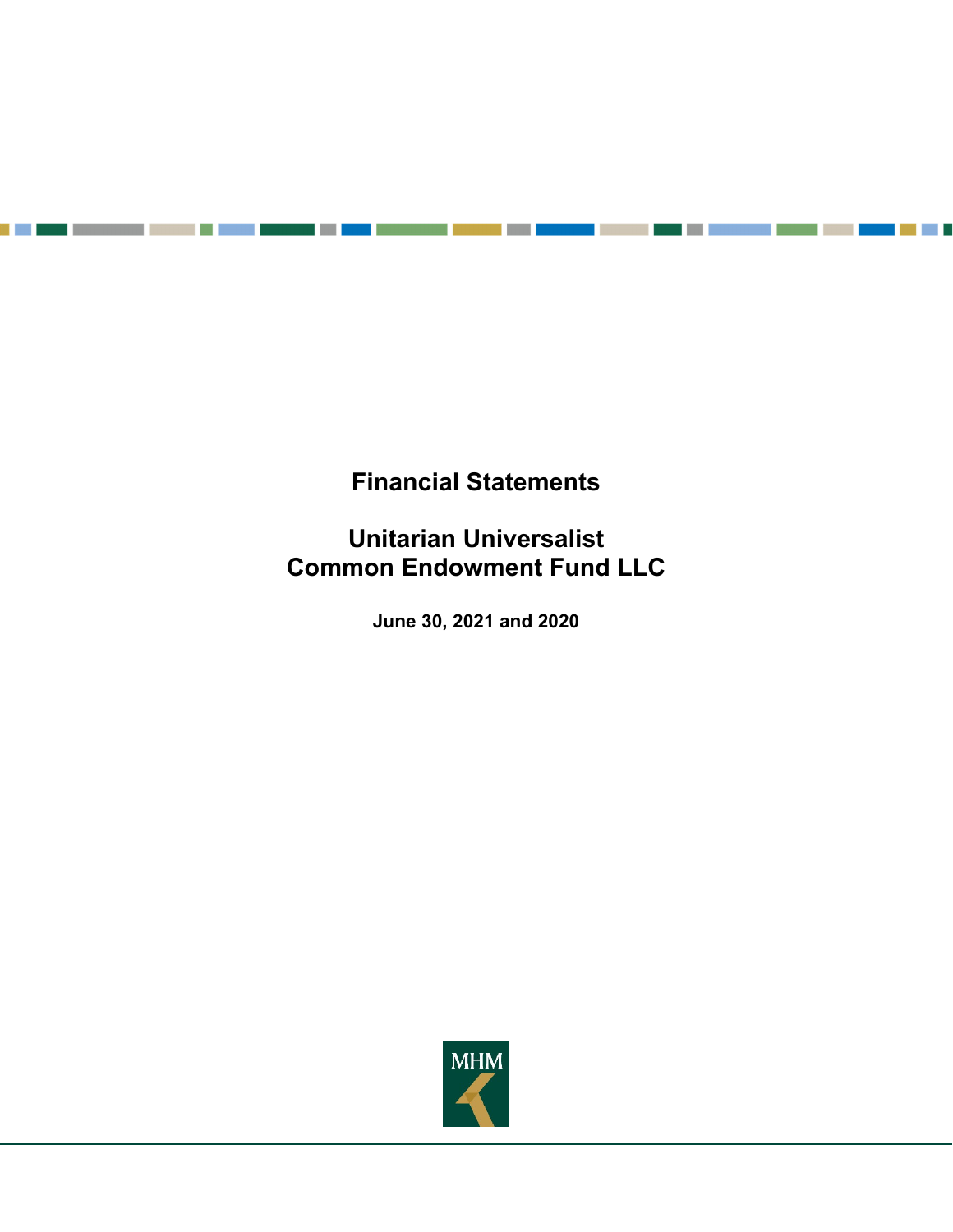**Financial Statements** 

a di kacamatan ing Kabupatén Kabupatén Kabupatén Kabupatén Kabupatén Kabupatén Kabupatén Kabupatén Kabupatén K

n m

T. ٠ a in S

e port

**Unitarian Universalist Common Endowment Fund LLC** 

**June 30, 2021 and 2020** 

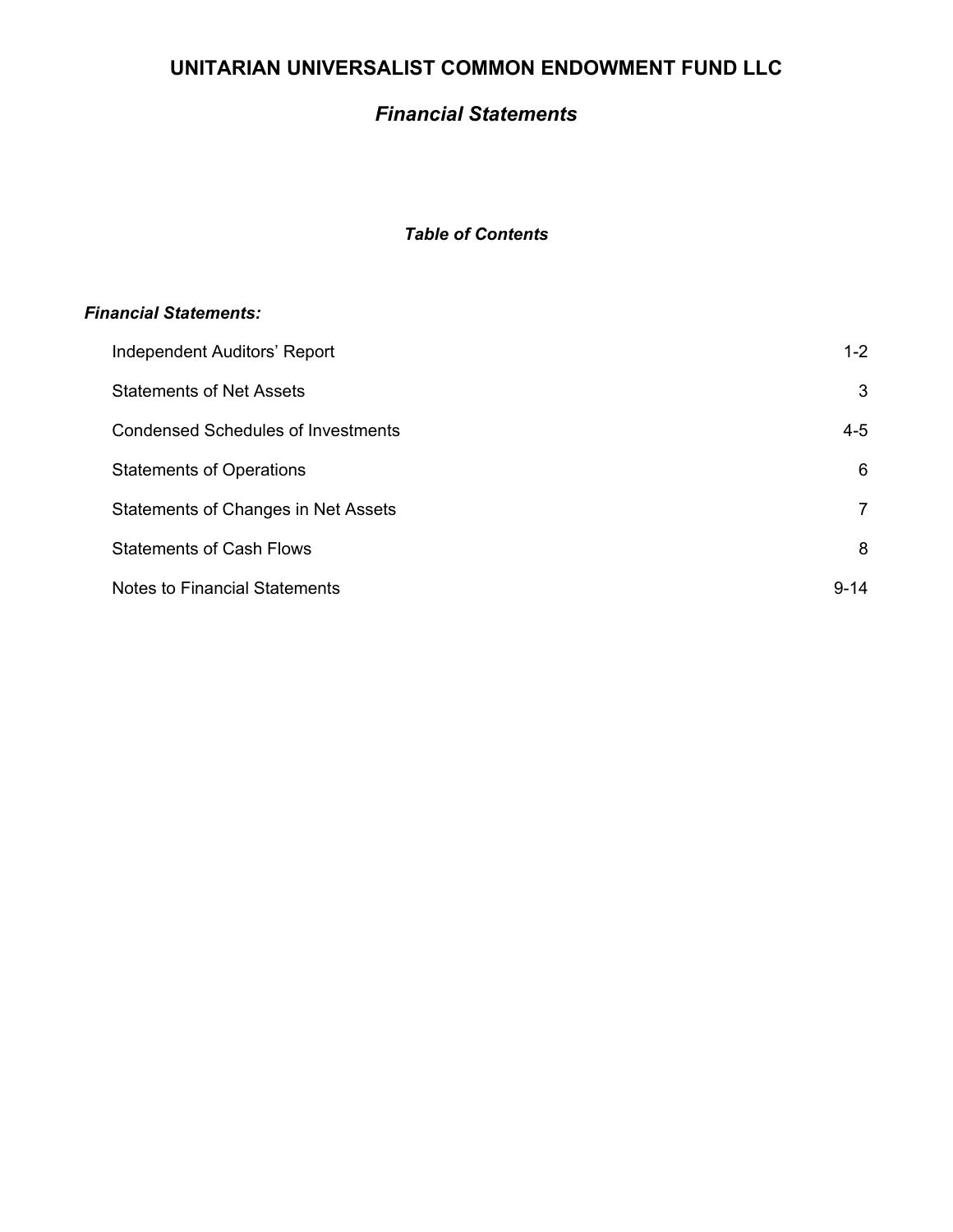# *Financial Statements*

# *Table of Contents*

## *Financial Statements:*

| Independent Auditors' Report               | $1 - 2$        |
|--------------------------------------------|----------------|
| <b>Statements of Net Assets</b>            | 3              |
| <b>Condensed Schedules of Investments</b>  | $4 - 5$        |
| <b>Statements of Operations</b>            | 6              |
| <b>Statements of Changes in Net Assets</b> | $\overline{7}$ |
| <b>Statements of Cash Flows</b>            | 8              |
| <b>Notes to Financial Statements</b>       | $9 - 14$       |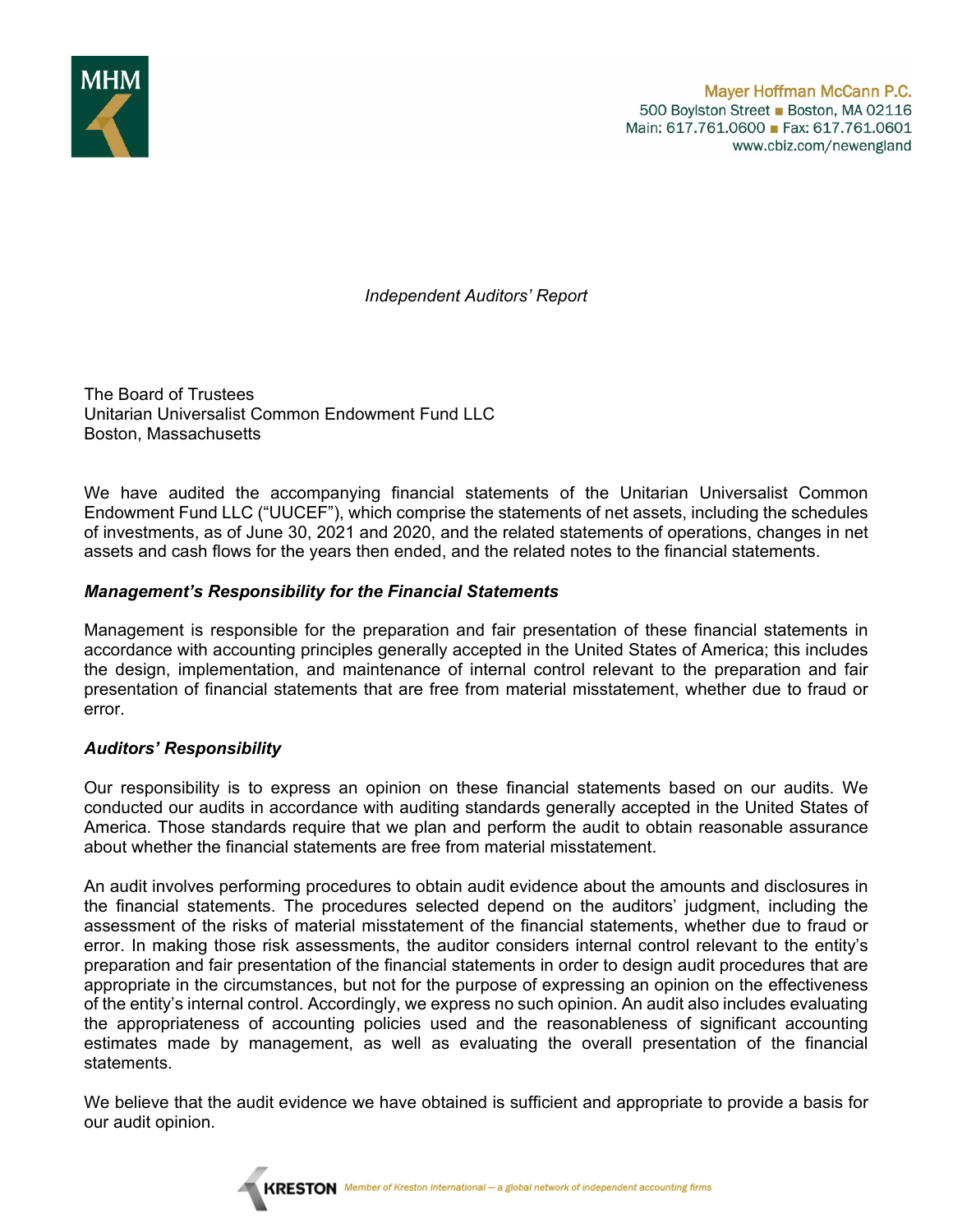

*Independent Auditors' Report* 

The Board of Trustees Unitarian Universalist Common Endowment Fund LLC Boston, Massachusetts

We have audited the accompanying financial statements of the Unitarian Universalist Common Endowment Fund LLC ("UUCEF"), which comprise the statements of net assets, including the schedules of investments, as of June 30, 2021 and 2020, and the related statements of operations, changes in net assets and cash flows for the years then ended, and the related notes to the financial statements.

## *Management's Responsibility for the Financial Statements*

Management is responsible for the preparation and fair presentation of these financial statements in accordance with accounting principles generally accepted in the United States of America; this includes the design, implementation, and maintenance of internal control relevant to the preparation and fair presentation of financial statements that are free from material misstatement, whether due to fraud or error.

## *Auditors' Responsibility*

Our responsibility is to express an opinion on these financial statements based on our audits. We conducted our audits in accordance with auditing standards generally accepted in the United States of America. Those standards require that we plan and perform the audit to obtain reasonable assurance about whether the financial statements are free from material misstatement.

An audit involves performing procedures to obtain audit evidence about the amounts and disclosures in the financial statements. The procedures selected depend on the auditors' judgment, including the assessment of the risks of material misstatement of the financial statements, whether due to fraud or error. In making those risk assessments, the auditor considers internal control relevant to the entity's preparation and fair presentation of the financial statements in order to design audit procedures that are appropriate in the circumstances, but not for the purpose of expressing an opinion on the effectiveness of the entity's internal control. Accordingly, we express no such opinion. An audit also includes evaluating the appropriateness of accounting policies used and the reasonableness of significant accounting estimates made by management, as well as evaluating the overall presentation of the financial statements.

We believe that the audit evidence we have obtained is sufficient and appropriate to provide a basis for our audit opinion.

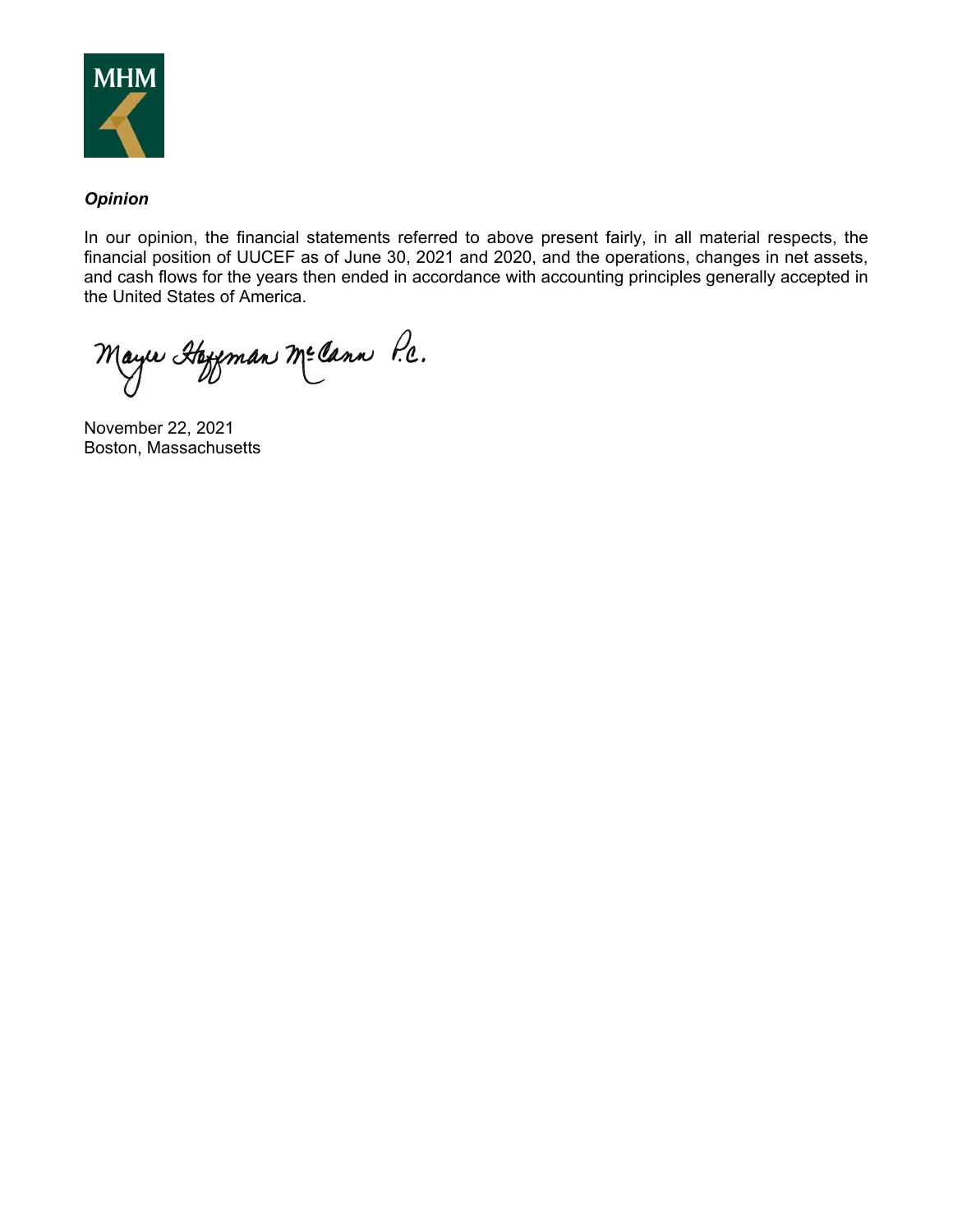

## *Opinion*

In our opinion, the financial statements referred to above present fairly, in all material respects, the financial position of UUCEF as of June 30, 2021 and 2020, and the operations, changes in net assets, and cash flows for the years then ended in accordance with accounting principles generally accepted in the United States of America.

Mayır Hayeman Me Cann P.C.

November 22, 2021 Boston, Massachusetts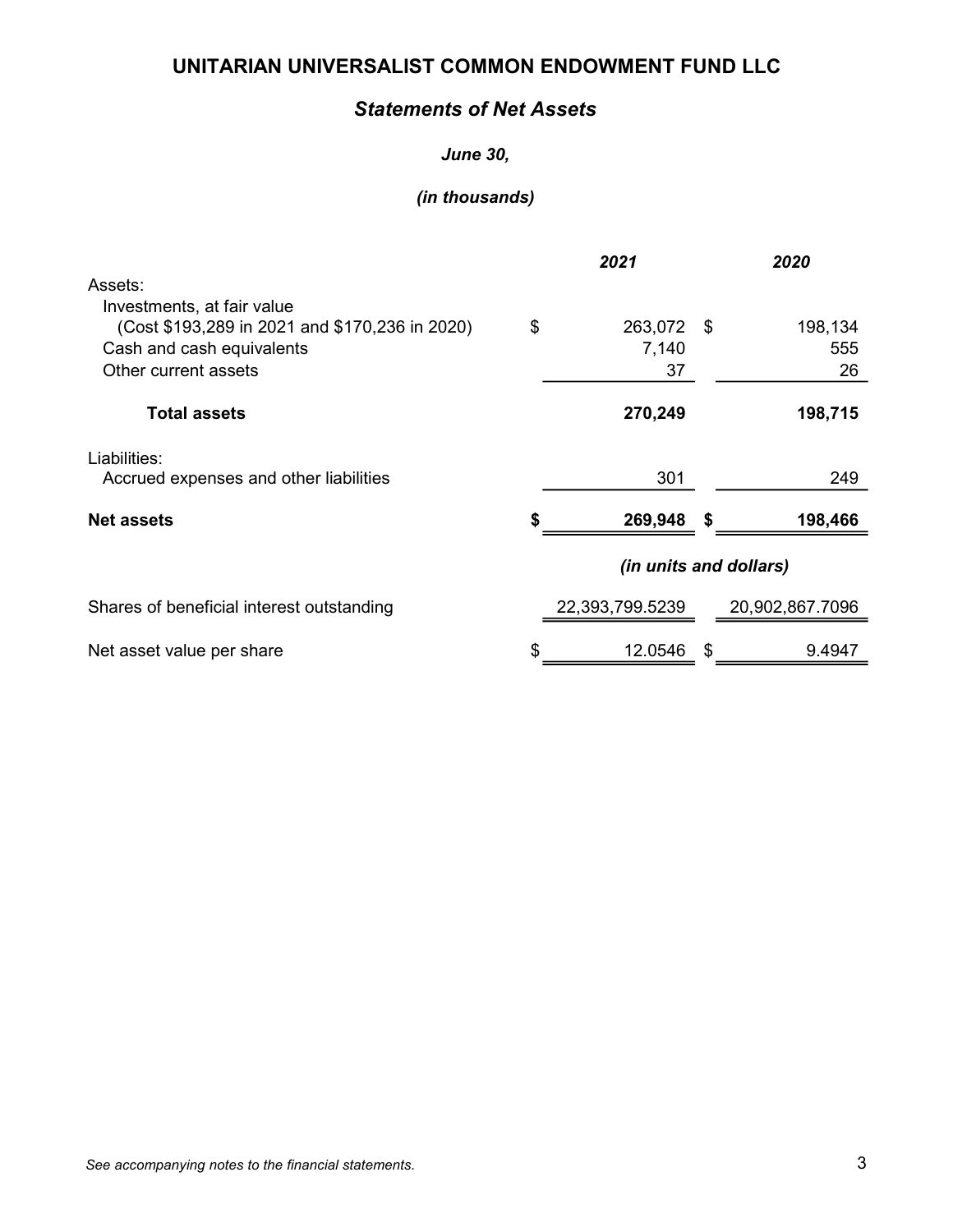# Statements of Net Assets

## June 30,

|                                                                                                                                   | 2021 |                           | 2020 |                      |
|-----------------------------------------------------------------------------------------------------------------------------------|------|---------------------------|------|----------------------|
| Assets:                                                                                                                           |      |                           |      |                      |
| Investments, at fair value<br>(Cost \$193,289 in 2021 and \$170,236 in 2020)<br>Cash and cash equivalents<br>Other current assets | \$   | 263,072 \$<br>7,140<br>37 |      | 198,134<br>555<br>26 |
| <b>Total assets</b>                                                                                                               |      | 270,249                   |      | 198,715              |
| Liabilities:<br>Accrued expenses and other liabilities                                                                            |      | 301                       |      | 249                  |
| <b>Net assets</b>                                                                                                                 |      | 269,948                   | S    | 198,466              |
|                                                                                                                                   |      | (in units and dollars)    |      |                      |
| Shares of beneficial interest outstanding                                                                                         |      | 22,393,799.5239           |      | 20,902,867.7096      |
| Net asset value per share                                                                                                         | S    | 12.0546                   | \$   | 9.4947               |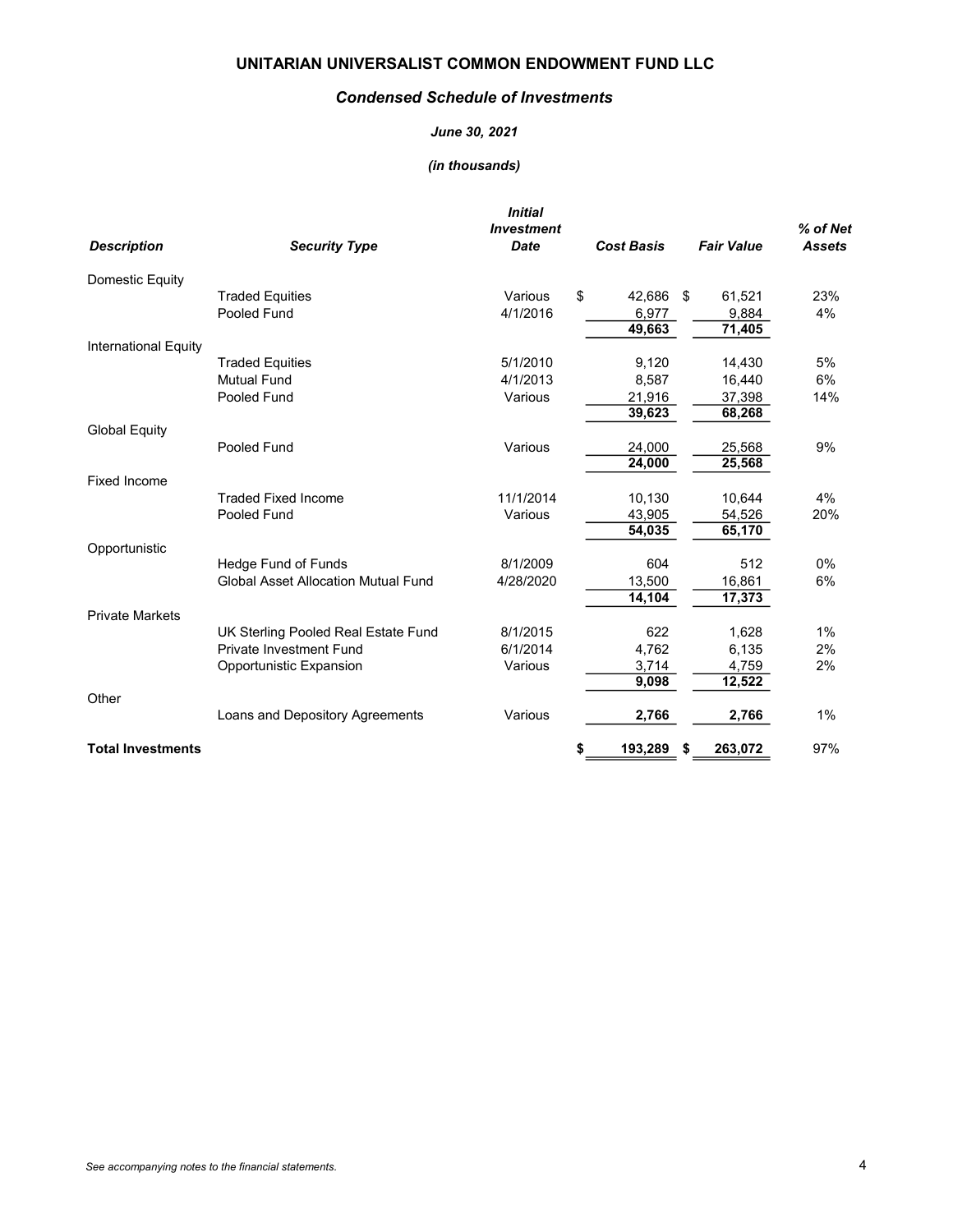#### Condensed Schedule of Investments

#### June 30, 2021

| <b>Description</b>       | <b>Security Type</b>                                                  | <b>Initial</b><br><b>Investment</b><br><b>Date</b> | <b>Cost Basis</b> |      | <b>Fair Value</b> | % of Net<br><b>Assets</b> |
|--------------------------|-----------------------------------------------------------------------|----------------------------------------------------|-------------------|------|-------------------|---------------------------|
| Domestic Equity          |                                                                       |                                                    |                   |      |                   |                           |
|                          | <b>Traded Equities</b>                                                | Various                                            | \$<br>42,686 \$   |      | 61,521            | 23%                       |
|                          | Pooled Fund                                                           | 4/1/2016                                           | 6,977             |      | 9,884             | 4%                        |
|                          |                                                                       |                                                    | 49,663            |      | 71,405            |                           |
| International Equity     |                                                                       |                                                    |                   |      |                   |                           |
|                          | <b>Traded Equities</b>                                                | 5/1/2010                                           | 9,120             |      | 14,430            | 5%                        |
|                          | <b>Mutual Fund</b>                                                    | 4/1/2013                                           | 8,587             |      | 16,440            | 6%                        |
|                          | Pooled Fund                                                           | Various                                            | 21,916            |      | 37,398            | 14%                       |
|                          |                                                                       |                                                    | 39,623            |      | 68,268            |                           |
| <b>Global Equity</b>     |                                                                       |                                                    |                   |      |                   |                           |
|                          | Pooled Fund                                                           | Various                                            | 24,000            |      | 25,568            | 9%                        |
|                          |                                                                       |                                                    | 24,000            |      | 25,568            |                           |
| <b>Fixed Income</b>      |                                                                       |                                                    |                   |      |                   |                           |
|                          | <b>Traded Fixed Income</b>                                            | 11/1/2014                                          | 10,130            |      | 10,644            | 4%                        |
|                          | Pooled Fund                                                           | Various                                            | 43,905            |      | 54,526            | 20%                       |
|                          |                                                                       |                                                    | 54,035            |      | 65,170            |                           |
| Opportunistic            |                                                                       |                                                    |                   |      |                   |                           |
|                          | Hedge Fund of Funds<br><b>Global Asset Allocation Mutual Fund</b>     | 8/1/2009                                           | 604               |      | 512               | 0%                        |
|                          |                                                                       | 4/28/2020                                          | 13,500            |      | 16,861            | 6%                        |
| <b>Private Markets</b>   |                                                                       |                                                    | 14,104            |      | 17,373            |                           |
|                          |                                                                       | 8/1/2015                                           | 622               |      | 1,628             | 1%                        |
|                          | UK Sterling Pooled Real Estate Fund<br><b>Private Investment Fund</b> | 6/1/2014                                           | 4,762             |      | 6,135             | 2%                        |
|                          |                                                                       | Various                                            |                   |      |                   | 2%                        |
|                          | Opportunistic Expansion                                               |                                                    | 3,714<br>9,098    |      | 4,759<br>12,522   |                           |
| Other                    |                                                                       |                                                    |                   |      |                   |                           |
|                          | Loans and Depository Agreements                                       | Various                                            | 2,766             |      | 2,766             | 1%                        |
| <b>Total Investments</b> |                                                                       |                                                    | \$<br>193,289     | - \$ | 263,072           | 97%                       |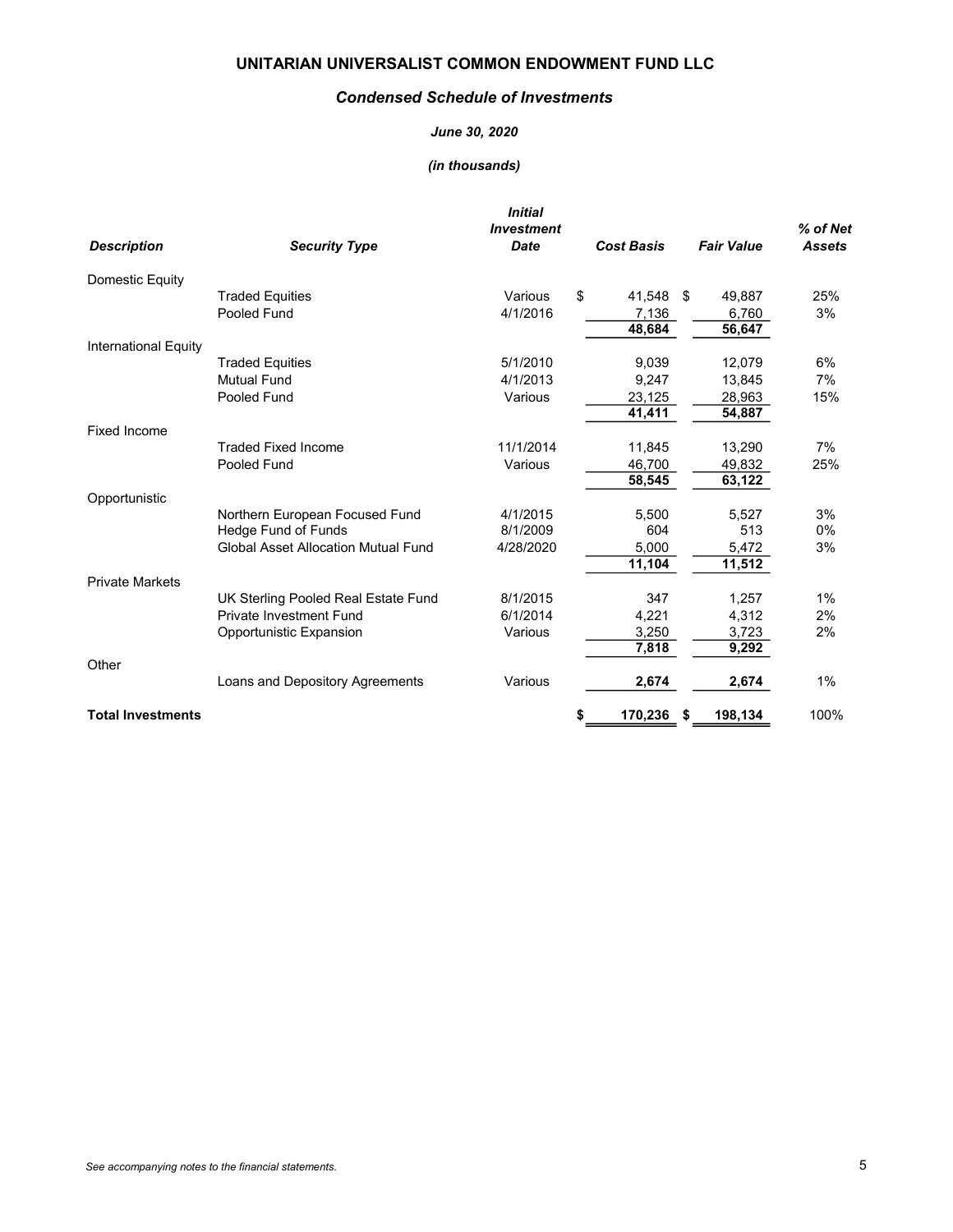#### Condensed Schedule of Investments

#### June 30, 2020

| <b>Description</b>          | <b>Security Type</b>                                  | <b>Initial</b><br><b>Investment</b><br><b>Date</b> | <b>Cost Basis</b>  | <b>Fair Value</b> | % of Net<br><b>Assets</b> |
|-----------------------------|-------------------------------------------------------|----------------------------------------------------|--------------------|-------------------|---------------------------|
| Domestic Equity             |                                                       |                                                    |                    |                   |                           |
|                             | <b>Traded Equities</b>                                | Various                                            | \$<br>41,548 \$    | 49,887            | 25%                       |
|                             | Pooled Fund                                           | 4/1/2016                                           | 7,136              | 6,760             | 3%                        |
|                             |                                                       |                                                    | 48,684             | 56,647            |                           |
| <b>International Equity</b> |                                                       |                                                    |                    |                   |                           |
|                             | <b>Traded Equities</b>                                | 5/1/2010                                           | 9,039              | 12,079            | 6%                        |
|                             | <b>Mutual Fund</b>                                    | 4/1/2013                                           | 9,247              | 13.845            | 7%                        |
|                             | Pooled Fund                                           | Various                                            | 23,125             | 28,963            | 15%                       |
|                             |                                                       |                                                    | 41,411             | 54,887            |                           |
| <b>Fixed Income</b>         |                                                       |                                                    |                    |                   |                           |
|                             | <b>Traded Fixed Income</b>                            | 11/1/2014                                          | 11,845             | 13,290            | 7%                        |
|                             | Pooled Fund                                           | Various                                            | 46,700             | 49,832            | 25%                       |
|                             |                                                       |                                                    | 58,545             | 63,122            |                           |
| Opportunistic               |                                                       | 4/1/2015                                           |                    |                   | 3%                        |
|                             | Northern European Focused Fund<br>Hedge Fund of Funds | 8/1/2009                                           | 5,500<br>604       | 5,527<br>513      | 0%                        |
|                             | <b>Global Asset Allocation Mutual Fund</b>            | 4/28/2020                                          | 5,000              | 5,472             | 3%                        |
|                             |                                                       |                                                    | 11,104             | 11,512            |                           |
| <b>Private Markets</b>      |                                                       |                                                    |                    |                   |                           |
|                             | UK Sterling Pooled Real Estate Fund                   | 8/1/2015                                           | 347                | 1,257             | 1%                        |
|                             | <b>Private Investment Fund</b>                        | 6/1/2014                                           | 4,221              | 4,312             | 2%                        |
|                             | Opportunistic Expansion                               | Various                                            | 3,250              | 3,723             | 2%                        |
|                             |                                                       |                                                    | 7,818              | 9,292             |                           |
| Other                       |                                                       |                                                    |                    |                   |                           |
|                             | Loans and Depository Agreements                       | Various                                            | 2,674              | 2,674             | 1%                        |
| <b>Total Investments</b>    |                                                       |                                                    | 170,236<br>\$<br>S | 198,134           | 100%                      |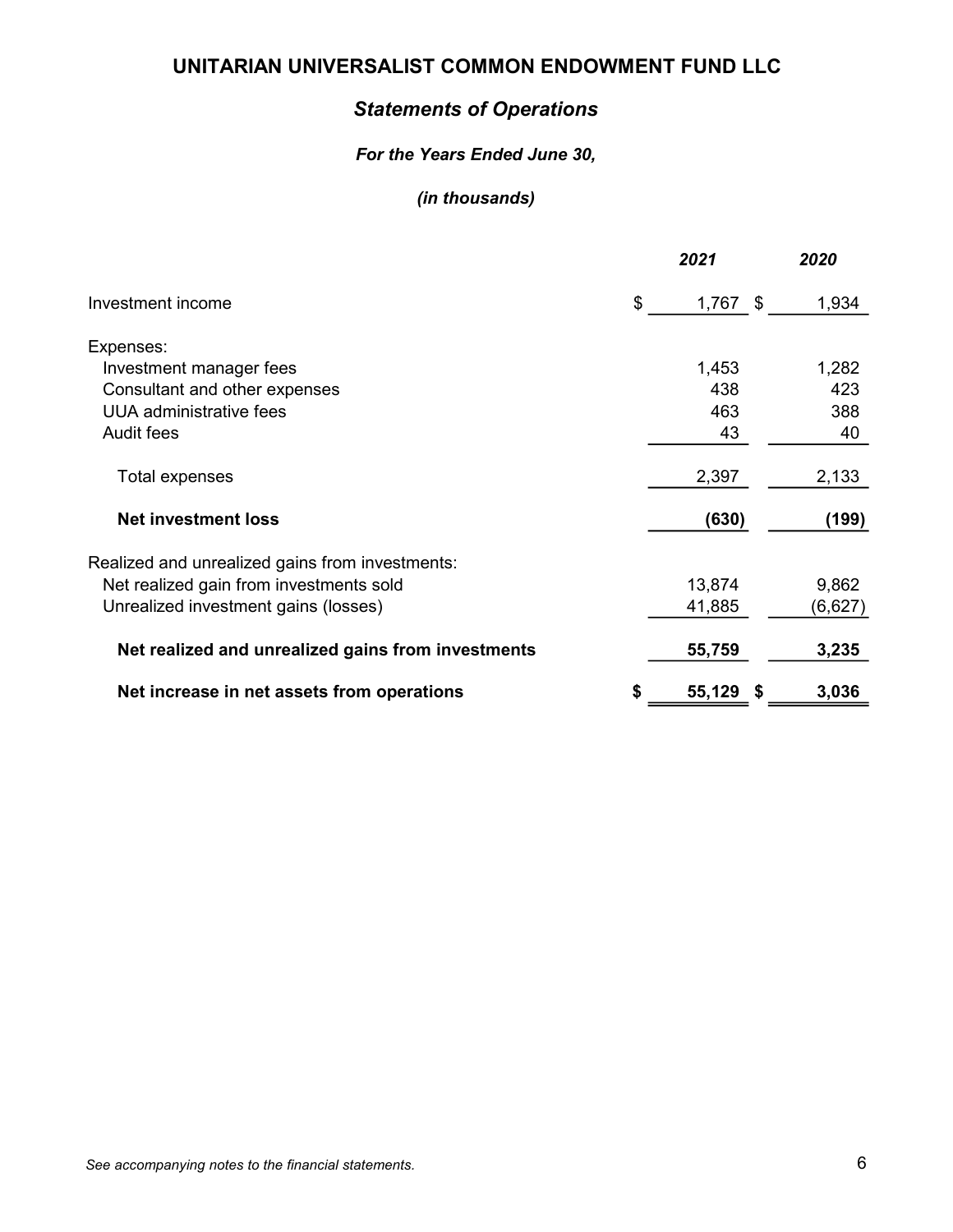# Statements of Operations

# For the Years Ended June 30,

|                                                    | 2021                 | 2020    |
|----------------------------------------------------|----------------------|---------|
| Investment income                                  | \$<br>$1,767$ \$     | 1,934   |
| Expenses:                                          |                      |         |
| Investment manager fees                            | 1,453                | 1,282   |
| Consultant and other expenses                      | 438                  | 423     |
| <b>UUA</b> administrative fees                     | 463                  | 388     |
| <b>Audit fees</b>                                  | 43                   | 40      |
| <b>Total expenses</b>                              | 2,397                | 2,133   |
| <b>Net investment loss</b>                         | (630)                | (199)   |
| Realized and unrealized gains from investments:    |                      |         |
| Net realized gain from investments sold            | 13,874               | 9,862   |
| Unrealized investment gains (losses)               | 41,885               | (6,627) |
| Net realized and unrealized gains from investments | 55,759               | 3,235   |
| Net increase in net assets from operations         | \$<br>55,129<br>- \$ | 3,036   |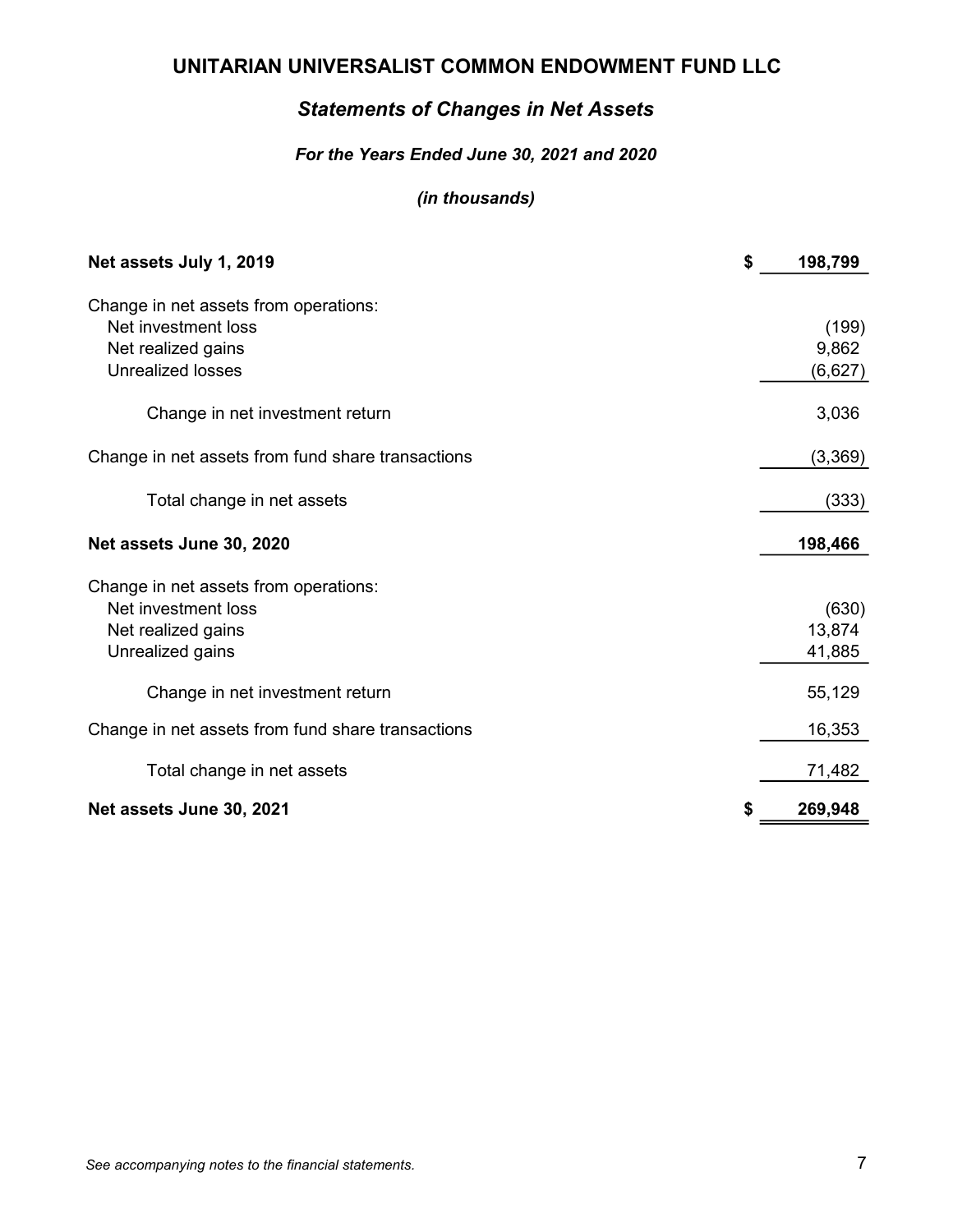# Statements of Changes in Net Assets

## For the Years Ended June 30, 2021 and 2020

| Net assets July 1, 2019                                      | \$<br>198,799    |
|--------------------------------------------------------------|------------------|
| Change in net assets from operations:<br>Net investment loss | (199)            |
| Net realized gains<br><b>Unrealized losses</b>               | 9,862<br>(6,627) |
| Change in net investment return                              | 3,036            |
| Change in net assets from fund share transactions            | (3,369)          |
| Total change in net assets                                   | (333)            |
| Net assets June 30, 2020                                     | 198,466          |
| Change in net assets from operations:<br>Net investment loss | (630)            |
| Net realized gains                                           | 13,874           |
| Unrealized gains                                             | 41,885           |
| Change in net investment return                              | 55,129           |
| Change in net assets from fund share transactions            | 16,353           |
| Total change in net assets                                   | 71,482           |
| Net assets June 30, 2021                                     | 269,948          |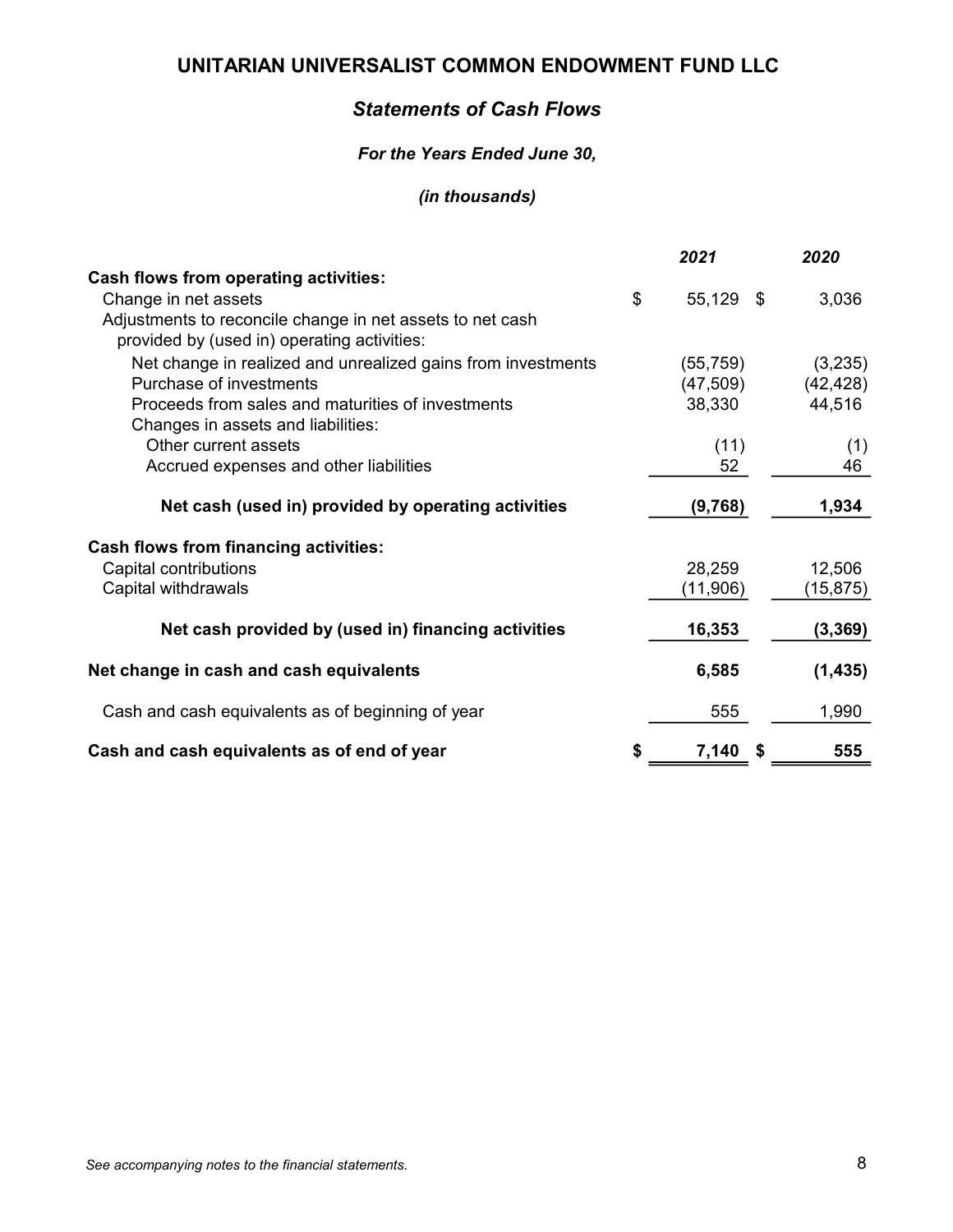# Statements of Cash Flows

### For the Years Ended June 30,

|                                                              | 2021      | 2020      |
|--------------------------------------------------------------|-----------|-----------|
| <b>Cash flows from operating activities:</b>                 |           |           |
| \$<br>Change in net assets                                   | 55,129 \$ | 3,036     |
| Adjustments to reconcile change in net assets to net cash    |           |           |
| provided by (used in) operating activities:                  |           |           |
| Net change in realized and unrealized gains from investments | (55, 759) | (3,235)   |
| Purchase of investments                                      | (47, 509) | (42, 428) |
| Proceeds from sales and maturities of investments            | 38,330    | 44,516    |
| Changes in assets and liabilities:                           |           |           |
| Other current assets                                         | (11)      | (1)       |
| Accrued expenses and other liabilities                       | 52        | 46        |
|                                                              |           |           |
| Net cash (used in) provided by operating activities          | (9,768)   | 1,934     |
| <b>Cash flows from financing activities:</b>                 |           |           |
| Capital contributions                                        | 28,259    | 12,506    |
| Capital withdrawals                                          | (11,906)  | (15,875)  |
|                                                              |           |           |
| Net cash provided by (used in) financing activities          | 16,353    | (3, 369)  |
| Net change in cash and cash equivalents                      | 6,585     | (1, 435)  |
|                                                              |           |           |
| Cash and cash equivalents as of beginning of year            | 555       | 1,990     |
| Cash and cash equivalents as of end of year<br>\$            | 7,140     | 555       |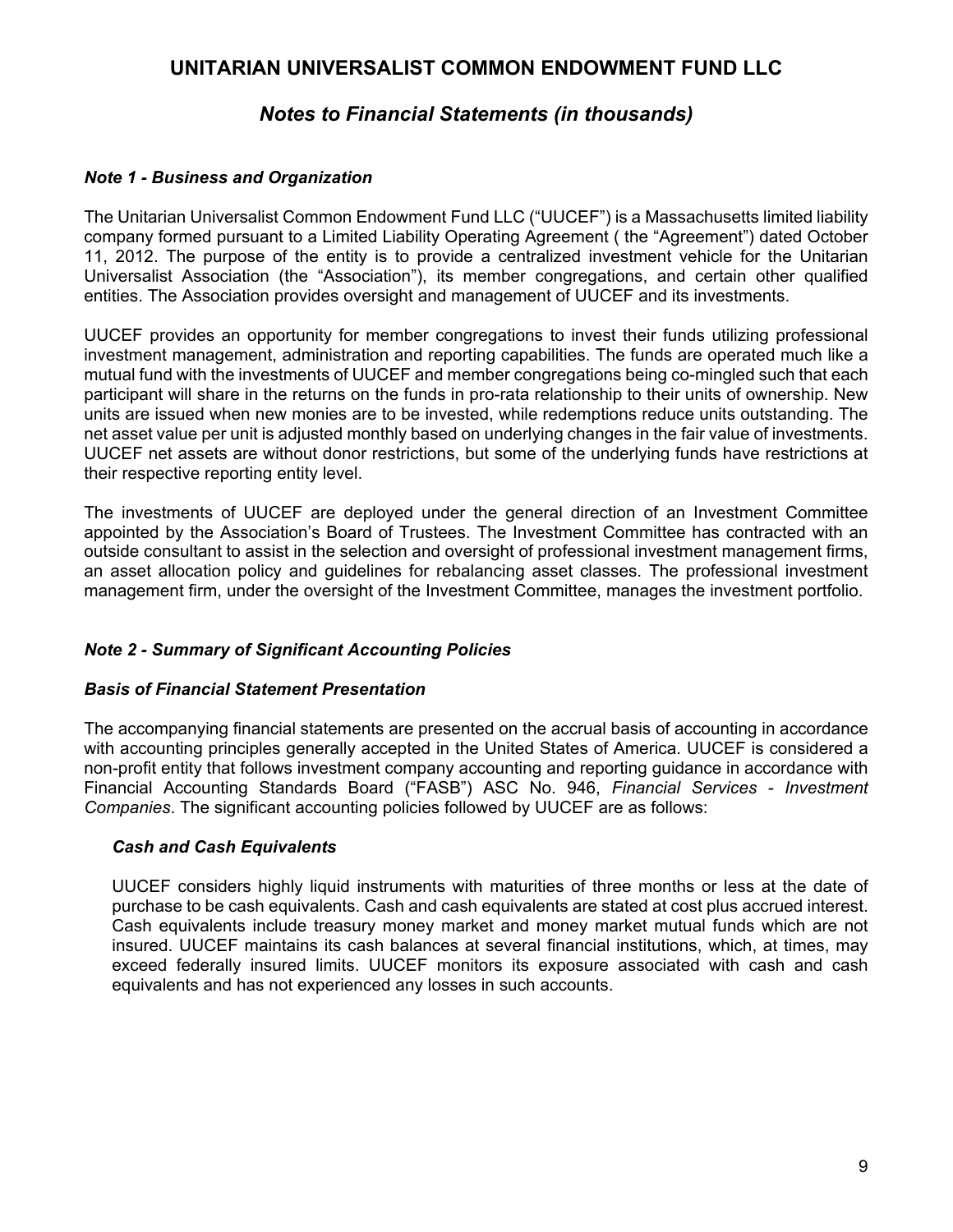# *Notes to Financial Statements (in thousands)*

## *Note 1 - Business and Organization*

The Unitarian Universalist Common Endowment Fund LLC ("UUCEF") is a Massachusetts limited liability company formed pursuant to a Limited Liability Operating Agreement ( the "Agreement") dated October 11, 2012. The purpose of the entity is to provide a centralized investment vehicle for the Unitarian Universalist Association (the "Association"), its member congregations, and certain other qualified entities. The Association provides oversight and management of UUCEF and its investments.

UUCEF provides an opportunity for member congregations to invest their funds utilizing professional investment management, administration and reporting capabilities. The funds are operated much like a mutual fund with the investments of UUCEF and member congregations being co-mingled such that each participant will share in the returns on the funds in pro-rata relationship to their units of ownership. New units are issued when new monies are to be invested, while redemptions reduce units outstanding. The net asset value per unit is adjusted monthly based on underlying changes in the fair value of investments. UUCEF net assets are without donor restrictions, but some of the underlying funds have restrictions at their respective reporting entity level.

The investments of UUCEF are deployed under the general direction of an Investment Committee appointed by the Association's Board of Trustees. The Investment Committee has contracted with an outside consultant to assist in the selection and oversight of professional investment management firms, an asset allocation policy and guidelines for rebalancing asset classes. The professional investment management firm, under the oversight of the Investment Committee, manages the investment portfolio.

### *Note 2 - Summary of Significant Accounting Policies*

### *Basis of Financial Statement Presentation*

The accompanying financial statements are presented on the accrual basis of accounting in accordance with accounting principles generally accepted in the United States of America. UUCEF is considered a non-profit entity that follows investment company accounting and reporting guidance in accordance with Financial Accounting Standards Board ("FASB") ASC No. 946, *Financial Services - Investment Companies*. The significant accounting policies followed by UUCEF are as follows:

### *Cash and Cash Equivalents*

UUCEF considers highly liquid instruments with maturities of three months or less at the date of purchase to be cash equivalents. Cash and cash equivalents are stated at cost plus accrued interest. Cash equivalents include treasury money market and money market mutual funds which are not insured. UUCEF maintains its cash balances at several financial institutions, which, at times, may exceed federally insured limits. UUCEF monitors its exposure associated with cash and cash equivalents and has not experienced any losses in such accounts.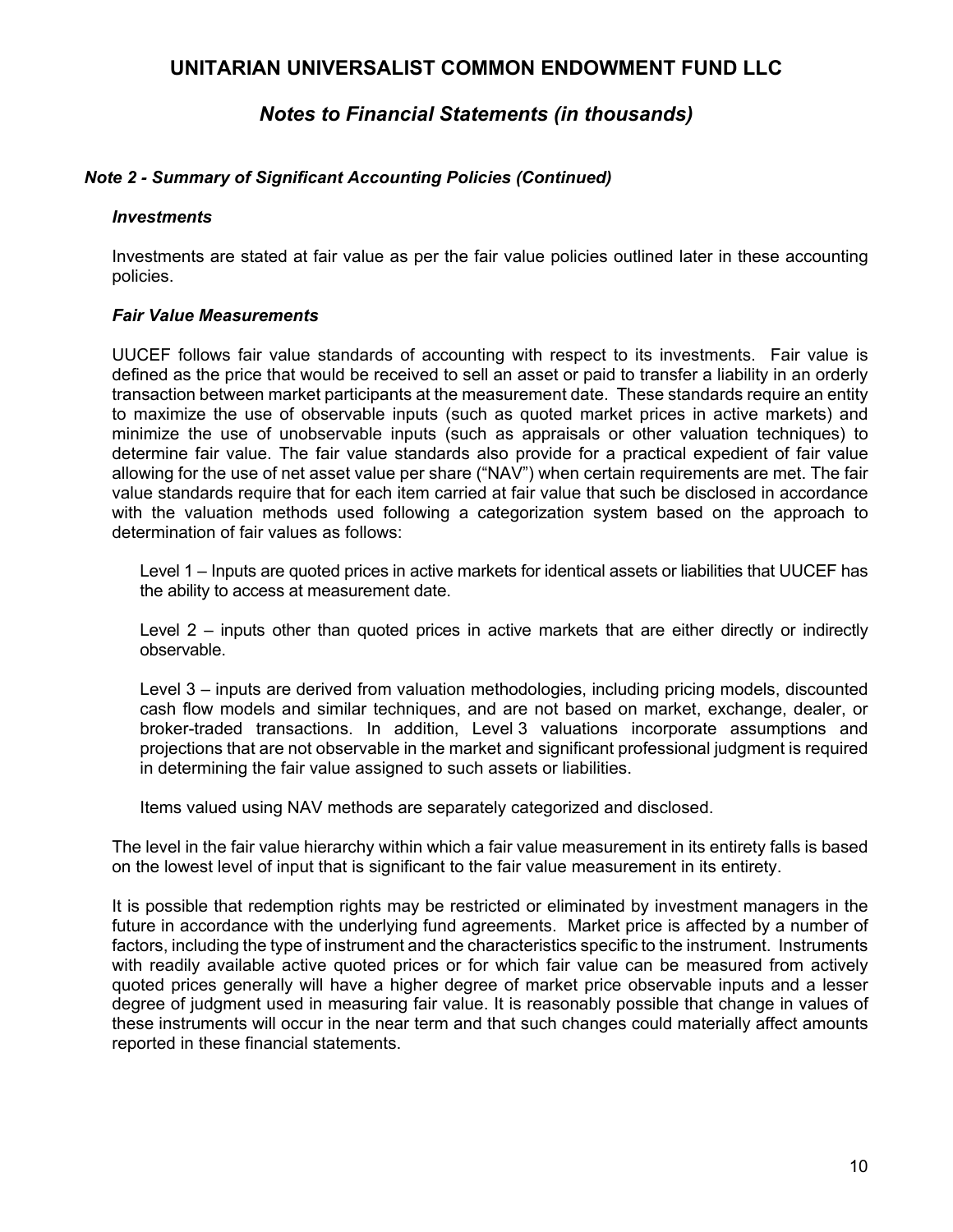# *Notes to Financial Statements (in thousands)*

#### *Note 2 - Summary of Significant Accounting Policies (Continued)*

#### *Investments*

Investments are stated at fair value as per the fair value policies outlined later in these accounting policies.

#### *Fair Value Measurements*

UUCEF follows fair value standards of accounting with respect to its investments. Fair value is defined as the price that would be received to sell an asset or paid to transfer a liability in an orderly transaction between market participants at the measurement date. These standards require an entity to maximize the use of observable inputs (such as quoted market prices in active markets) and minimize the use of unobservable inputs (such as appraisals or other valuation techniques) to determine fair value. The fair value standards also provide for a practical expedient of fair value allowing for the use of net asset value per share ("NAV") when certain requirements are met. The fair value standards require that for each item carried at fair value that such be disclosed in accordance with the valuation methods used following a categorization system based on the approach to determination of fair values as follows:

Level 1 – Inputs are quoted prices in active markets for identical assets or liabilities that UUCEF has the ability to access at measurement date.

Level 2 – inputs other than quoted prices in active markets that are either directly or indirectly observable.

Level 3 – inputs are derived from valuation methodologies, including pricing models, discounted cash flow models and similar techniques, and are not based on market, exchange, dealer, or broker-traded transactions. In addition, Level 3 valuations incorporate assumptions and projections that are not observable in the market and significant professional judgment is required in determining the fair value assigned to such assets or liabilities.

Items valued using NAV methods are separately categorized and disclosed.

The level in the fair value hierarchy within which a fair value measurement in its entirety falls is based on the lowest level of input that is significant to the fair value measurement in its entirety.

It is possible that redemption rights may be restricted or eliminated by investment managers in the future in accordance with the underlying fund agreements. Market price is affected by a number of factors, including the type of instrument and the characteristics specific to the instrument. Instruments with readily available active quoted prices or for which fair value can be measured from actively quoted prices generally will have a higher degree of market price observable inputs and a lesser degree of judgment used in measuring fair value. It is reasonably possible that change in values of these instruments will occur in the near term and that such changes could materially affect amounts reported in these financial statements.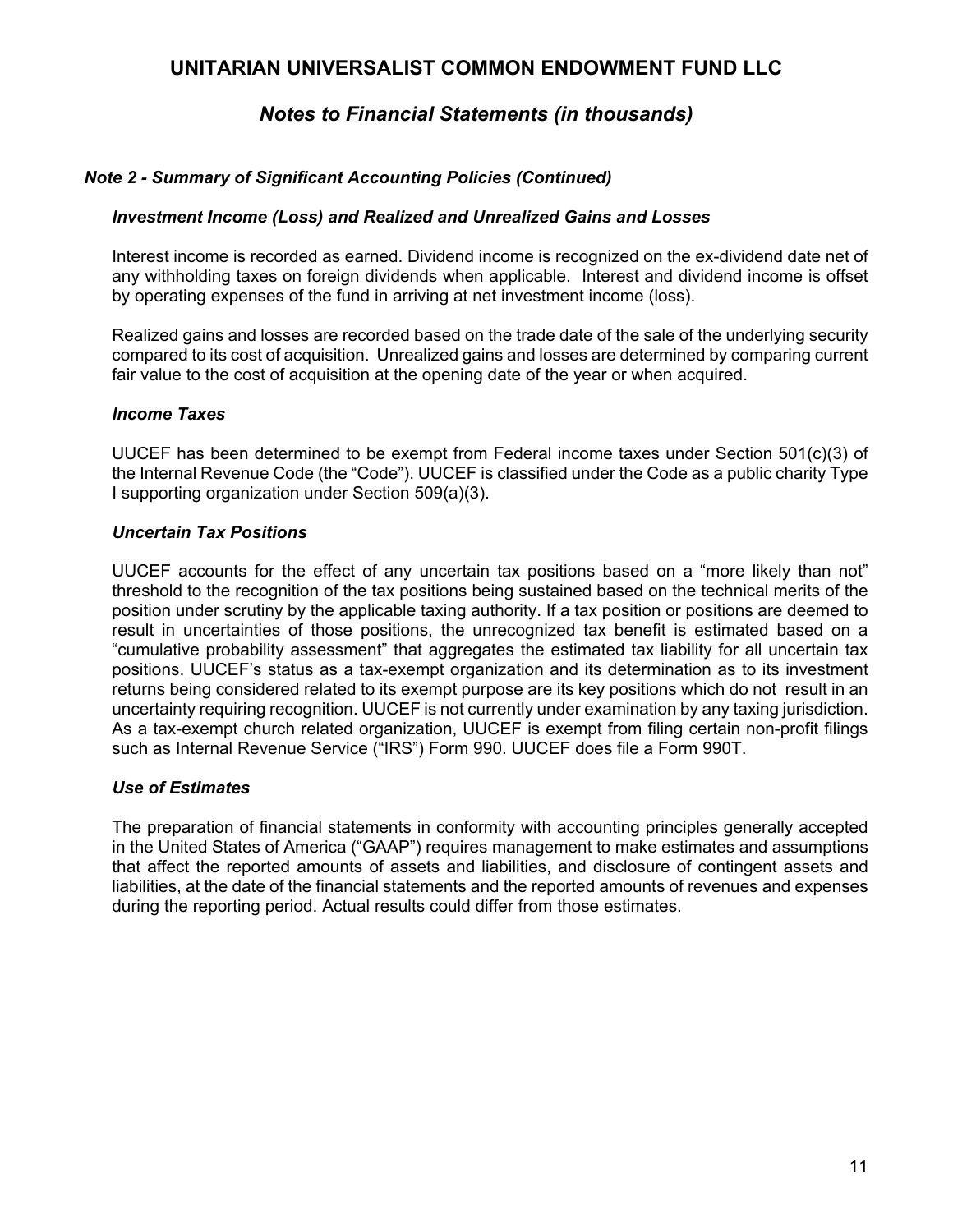# *Notes to Financial Statements (in thousands)*

## *Note 2 - Summary of Significant Accounting Policies (Continued)*

#### *Investment Income (Loss) and Realized and Unrealized Gains and Losses*

Interest income is recorded as earned. Dividend income is recognized on the ex-dividend date net of any withholding taxes on foreign dividends when applicable. Interest and dividend income is offset by operating expenses of the fund in arriving at net investment income (loss).

Realized gains and losses are recorded based on the trade date of the sale of the underlying security compared to its cost of acquisition. Unrealized gains and losses are determined by comparing current fair value to the cost of acquisition at the opening date of the year or when acquired.

#### *Income Taxes*

UUCEF has been determined to be exempt from Federal income taxes under Section 501(c)(3) of the Internal Revenue Code (the "Code"). UUCEF is classified under the Code as a public charity Type I supporting organization under Section 509(a)(3).

#### *Uncertain Tax Positions*

UUCEF accounts for the effect of any uncertain tax positions based on a "more likely than not" threshold to the recognition of the tax positions being sustained based on the technical merits of the position under scrutiny by the applicable taxing authority. If a tax position or positions are deemed to result in uncertainties of those positions, the unrecognized tax benefit is estimated based on a "cumulative probability assessment" that aggregates the estimated tax liability for all uncertain tax positions. UUCEF's status as a tax-exempt organization and its determination as to its investment returns being considered related to its exempt purpose are its key positions which do not result in an uncertainty requiring recognition. UUCEF is not currently under examination by any taxing jurisdiction. As a tax-exempt church related organization, UUCEF is exempt from filing certain non-profit filings such as Internal Revenue Service ("IRS") Form 990. UUCEF does file a Form 990T.

### *Use of Estimates*

The preparation of financial statements in conformity with accounting principles generally accepted in the United States of America ("GAAP") requires management to make estimates and assumptions that affect the reported amounts of assets and liabilities, and disclosure of contingent assets and liabilities, at the date of the financial statements and the reported amounts of revenues and expenses during the reporting period. Actual results could differ from those estimates.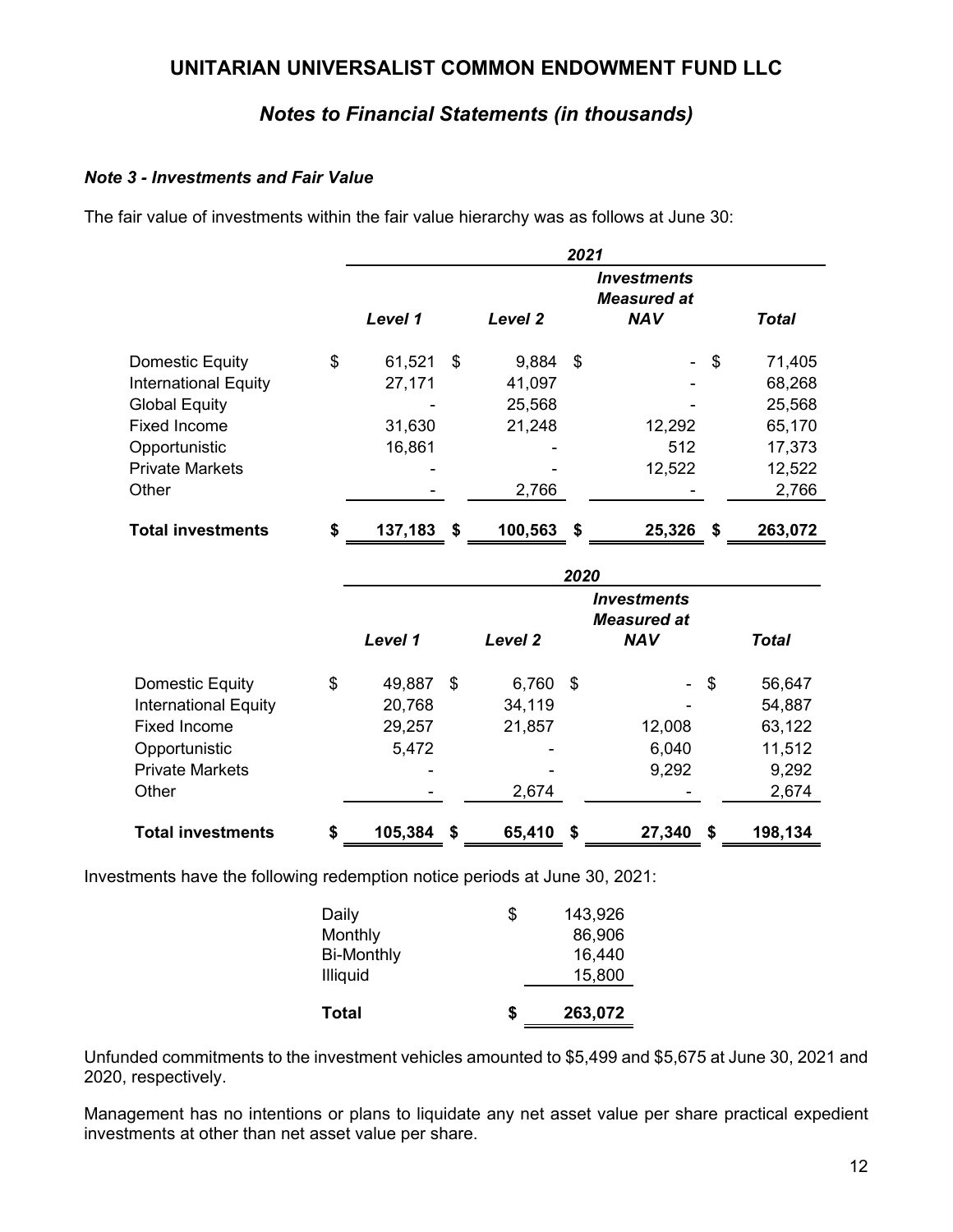# *Notes to Financial Statements (in thousands)*

### *Note 3 - Investments and Fair Value*

The fair value of investments within the fair value hierarchy was as follows at June 30:

|                             | 2021          |    |            |   |                                          |    |              |
|-----------------------------|---------------|----|------------|---|------------------------------------------|----|--------------|
|                             |               |    |            |   | <b>Investments</b><br><b>Measured at</b> |    |              |
|                             | Level 1       |    | Level 2    |   | <b>NAV</b>                               |    | <b>Total</b> |
| Domestic Equity             | \$<br>61,521  | \$ | $9,884$ \$ |   | $\overline{\phantom{0}}$                 | \$ | 71,405       |
| <b>International Equity</b> | 27,171        |    | 41,097     |   |                                          |    | 68,268       |
| <b>Global Equity</b>        |               |    | 25,568     |   |                                          |    | 25,568       |
| <b>Fixed Income</b>         | 31,630        |    | 21,248     |   | 12,292                                   |    | 65,170       |
| Opportunistic               | 16,861        |    |            |   | 512                                      |    | 17,373       |
| <b>Private Markets</b>      |               |    |            |   | 12,522                                   |    | 12,522       |
| Other                       |               |    | 2,766      |   |                                          |    | 2,766        |
|                             |               |    |            |   |                                          |    |              |
| <b>Total investments</b>    | \$<br>137,183 | S  | 100,563    | S | 25,326                                   | S  | 263,072      |

|                             | 2020                     |    |                                                                                 |    |        |              |         |
|-----------------------------|--------------------------|----|---------------------------------------------------------------------------------|----|--------|--------------|---------|
|                             | Level 1                  |    | <i><u><b>Investments</b></u></i><br><b>Measured at</b><br>Level 2<br><b>NAV</b> |    |        | <b>Total</b> |         |
| Domestic Equity             | \$<br>49,887             | \$ | 6,760                                                                           | \$ |        | - \$         | 56,647  |
| <b>International Equity</b> | 20,768                   |    | 34,119                                                                          |    |        |              | 54,887  |
| Fixed Income                | 29,257                   |    | 21,857                                                                          |    | 12,008 |              | 63,122  |
| Opportunistic               | 5,472                    |    |                                                                                 |    | 6,040  |              | 11,512  |
| <b>Private Markets</b>      | $\overline{\phantom{0}}$ |    |                                                                                 |    | 9,292  |              | 9,292   |
| Other                       |                          |    | 2,674                                                                           |    |        |              | 2,674   |
| <b>Total investments</b>    | \$<br>105,384            | S  | 65,410                                                                          | \$ | 27,340 | 5            | 198,134 |

Investments have the following redemption notice periods at June 30, 2021:

| Total             | S  | 263,072 |
|-------------------|----|---------|
| <b>Illiquid</b>   |    | 15,800  |
| <b>Bi-Monthly</b> |    | 16,440  |
| Monthly           |    | 86,906  |
| Daily             | \$ | 143,926 |

Unfunded commitments to the investment vehicles amounted to \$5,499 and \$5,675 at June 30, 2021 and 2020, respectively.

Management has no intentions or plans to liquidate any net asset value per share practical expedient investments at other than net asset value per share.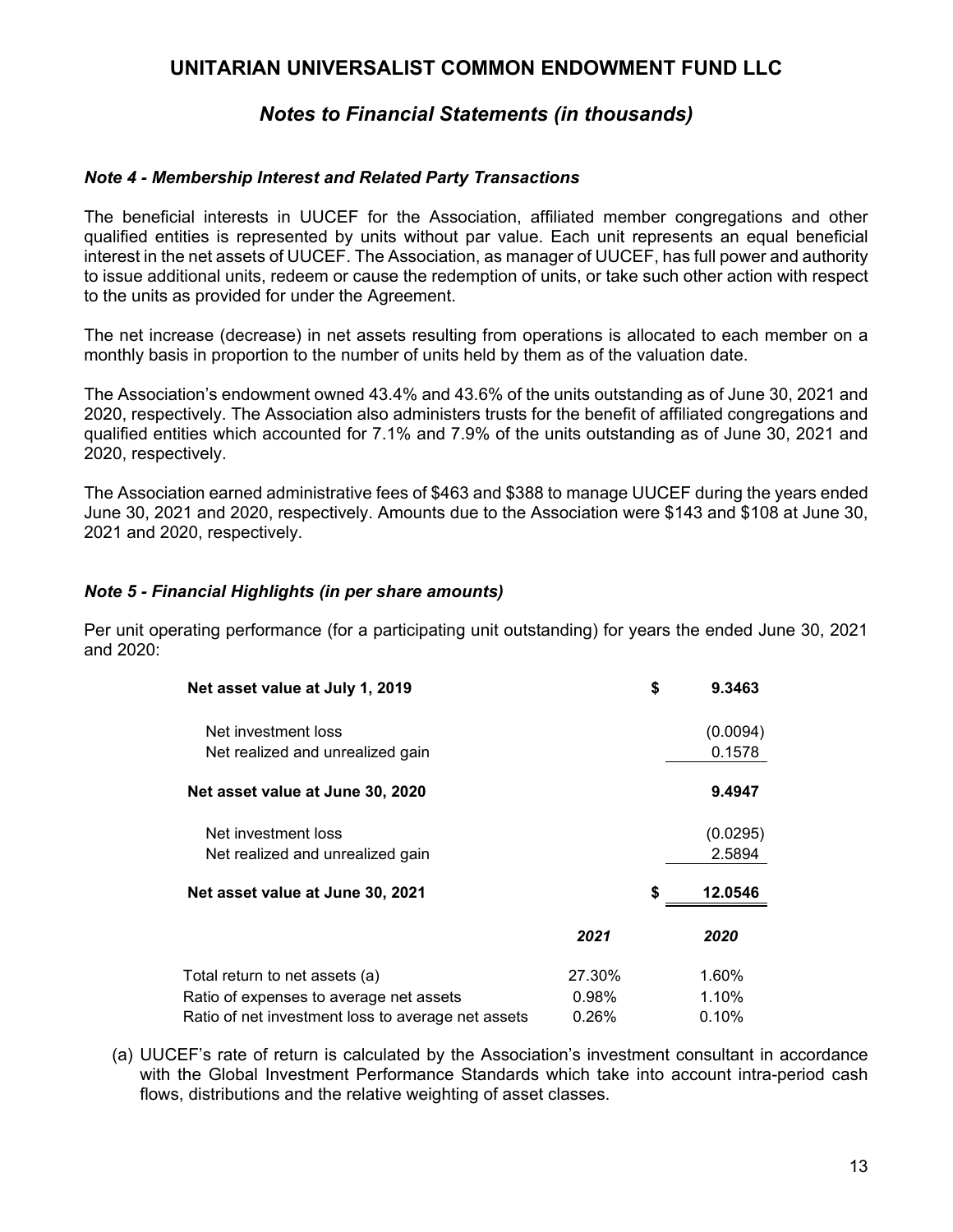# *Notes to Financial Statements (in thousands)*

#### *Note 4 - Membership Interest and Related Party Transactions*

The beneficial interests in UUCEF for the Association, affiliated member congregations and other qualified entities is represented by units without par value. Each unit represents an equal beneficial interest in the net assets of UUCEF. The Association, as manager of UUCEF, has full power and authority to issue additional units, redeem or cause the redemption of units, or take such other action with respect to the units as provided for under the Agreement.

The net increase (decrease) in net assets resulting from operations is allocated to each member on a monthly basis in proportion to the number of units held by them as of the valuation date.

The Association's endowment owned 43.4% and 43.6% of the units outstanding as of June 30, 2021 and 2020, respectively. The Association also administers trusts for the benefit of affiliated congregations and qualified entities which accounted for 7.1% and 7.9% of the units outstanding as of June 30, 2021 and 2020, respectively.

The Association earned administrative fees of \$463 and \$388 to manage UUCEF during the years ended June 30, 2021 and 2020, respectively. Amounts due to the Association were \$143 and \$108 at June 30, 2021 and 2020, respectively.

#### *Note 5 - Financial Highlights (in per share amounts)*

Per unit operating performance (for a participating unit outstanding) for years the ended June 30, 2021 and 2020:

| Net asset value at July 1, 2019                    |        | \$<br>9.3463  |
|----------------------------------------------------|--------|---------------|
| Net investment loss                                |        | (0.0094)      |
| Net realized and unrealized gain                   |        | 0.1578        |
| Net asset value at June 30, 2020                   |        | 9.4947        |
| Net investment loss                                |        | (0.0295)      |
| Net realized and unrealized gain                   |        | 2.5894        |
| Net asset value at June 30, 2021                   |        | \$<br>12.0546 |
|                                                    | 2021   | 2020          |
| Total return to net assets (a)                     | 27.30% | 1.60%         |
| Ratio of expenses to average net assets            | 0.98%  | 1.10%         |
| Ratio of net investment loss to average net assets | 0.26%  | 0.10%         |

(a) UUCEF's rate of return is calculated by the Association's investment consultant in accordance with the Global Investment Performance Standards which take into account intra-period cash flows, distributions and the relative weighting of asset classes.